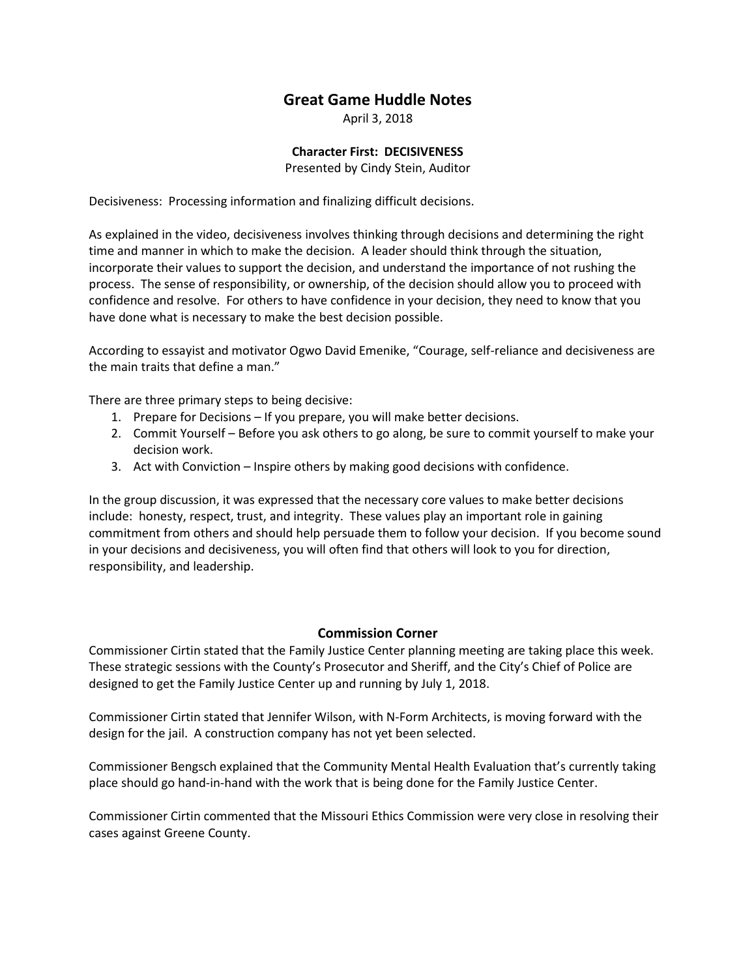## **Great Game Huddle Notes**

April 3, 2018

## **Character First: DECISIVENESS**

Presented by Cindy Stein, Auditor

Decisiveness: Processing information and finalizing difficult decisions.

As explained in the video, decisiveness involves thinking through decisions and determining the right time and manner in which to make the decision. A leader should think through the situation, incorporate their values to support the decision, and understand the importance of not rushing the process. The sense of responsibility, or ownership, of the decision should allow you to proceed with confidence and resolve. For others to have confidence in your decision, they need to know that you have done what is necessary to make the best decision possible.

According to essayist and motivator Ogwo David Emenike, "Courage, self-reliance and decisiveness are the main traits that define a man."

There are three primary steps to being decisive:

- 1. Prepare for Decisions If you prepare, you will make better decisions.
- 2. Commit Yourself Before you ask others to go along, be sure to commit yourself to make your decision work.
- 3. Act with Conviction Inspire others by making good decisions with confidence.

In the group discussion, it was expressed that the necessary core values to make better decisions include: honesty, respect, trust, and integrity. These values play an important role in gaining commitment from others and should help persuade them to follow your decision. If you become sound in your decisions and decisiveness, you will often find that others will look to you for direction, responsibility, and leadership.

## **Commission Corner**

Commissioner Cirtin stated that the Family Justice Center planning meeting are taking place this week. These strategic sessions with the County's Prosecutor and Sheriff, and the City's Chief of Police are designed to get the Family Justice Center up and running by July 1, 2018.

Commissioner Cirtin stated that Jennifer Wilson, with N-Form Architects, is moving forward with the design for the jail. A construction company has not yet been selected.

Commissioner Bengsch explained that the Community Mental Health Evaluation that's currently taking place should go hand-in-hand with the work that is being done for the Family Justice Center.

Commissioner Cirtin commented that the Missouri Ethics Commission were very close in resolving their cases against Greene County.